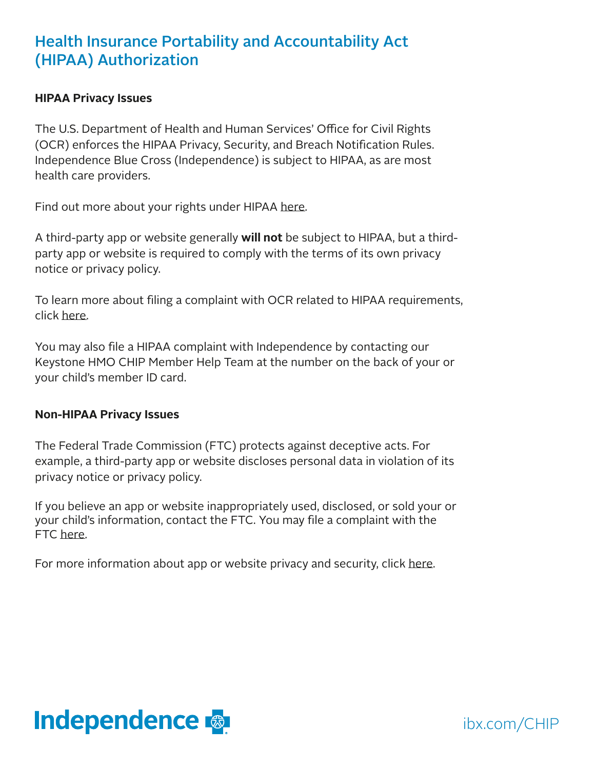## Health Insurance Portability and Accountability Act (HIPAA) Authorization

## **HIPAA Privacy Issues**

The U.S. Department of Health and Human Services' Office for Civil Rights (OCR) enforces the HIPAA Privacy, Security, and Breach Notification Rules. Independence Blue Cross (Independence) is subject to HIPAA, as are most health care providers.

Find out more about your rights under HIPAA [here.](https://www.hhs.gov/hipaa/for-individuals/index.html)

A third-party app or website generally **will not** be subject to HIPAA, but a thirdparty app or website is required to comply with the terms of its own privacy notice or privacy policy.

To learn more about filing a complaint with OCR related to HIPAA requirements, click [here.](https://www.hhs.gov/hipaa/filing-a-complaint/index.html)

You may also file a HIPAA complaint with Independence by contacting our Keystone HMO CHIP Member Help Team at the number on the back of your or your child's member ID card.

## **Non-HIPAA Privacy Issues**

The Federal Trade Commission (FTC) protects against deceptive acts. For example, a third-party app or website discloses personal data in violation of its privacy notice or privacy policy.

If you believe an app or website inappropriately used, disclosed, or sold your or your child's information, contact the FTC. You may file a complaint with the FTC [here](https://reportfraud.ftc.gov/#/?pid=B).

For more information about app or website privacy and security, click [here.](https://www.consumer.ftc.gov/articles/0018-understanding-mobile-apps)



ibx.com/CHIP